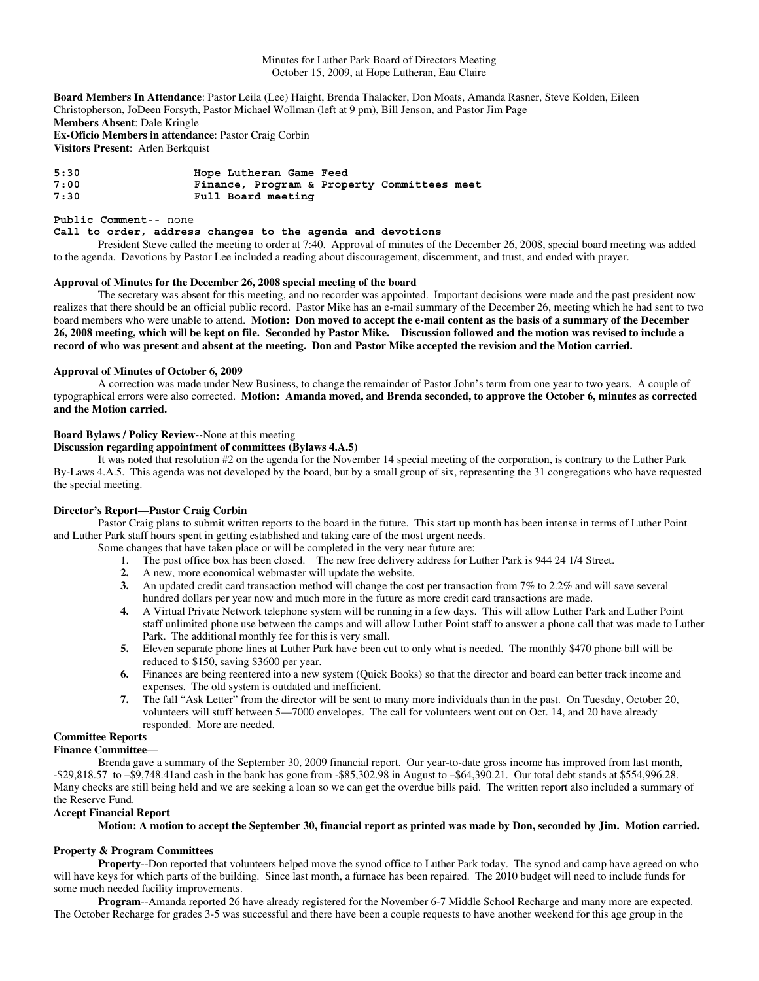Minutes for Luther Park Board of Directors Meeting October 15, 2009, at Hope Lutheran, Eau Claire

**Board Members In Attendance**: Pastor Leila (Lee) Haight, Brenda Thalacker, Don Moats, Amanda Rasner, Steve Kolden, Eileen Christopherson, JoDeen Forsyth, Pastor Michael Wollman (left at 9 pm), Bill Jenson, and Pastor Jim Page **Members Absent**: Dale Kringle **Ex-Oficio Members in attendance**: Pastor Craig Corbin **Visitors Present**: Arlen Berkquist

**5:30 Hope Lutheran Game Feed 7:00 Finance, Program & Property Committees meet** Full Board meeting

### **Public Comment--** none

### **Call to order, address changes to the agenda and devotions**

President Steve called the meeting to order at 7:40. Approval of minutes of the December 26, 2008, special board meeting was added to the agenda. Devotions by Pastor Lee included a reading about discouragement, discernment, and trust, and ended with prayer.

## **Approval of Minutes for the December 26, 2008 special meeting of the board**

The secretary was absent for this meeting, and no recorder was appointed. Important decisions were made and the past president now realizes that there should be an official public record. Pastor Mike has an e-mail summary of the December 26, meeting which he had sent to two board members who were unable to attend. **Motion: Don moved to accept the e-mail content as the basis of a summary of the December 26, 2008 meeting, which will be kept on file. Seconded by Pastor Mike. Discussion followed and the motion was revised to include a record of who was present and absent at the meeting. Don and Pastor Mike accepted the revision and the Motion carried.** 

### **Approval of Minutes of October 6, 2009**

 A correction was made under New Business, to change the remainder of Pastor John's term from one year to two years. A couple of typographical errors were also corrected. **Motion: Amanda moved, and Brenda seconded, to approve the October 6, minutes as corrected and the Motion carried.** 

# **Board Bylaws / Policy Review--**None at this meeting

## **Discussion regarding appointment of committees (Bylaws 4.A.5)**

It was noted that resolution #2 on the agenda for the November 14 special meeting of the corporation, is contrary to the Luther Park By-Laws 4.A.5. This agenda was not developed by the board, but by a small group of six, representing the 31 congregations who have requested the special meeting.

# **Director's Report—Pastor Craig Corbin**

Pastor Craig plans to submit written reports to the board in the future. This start up month has been intense in terms of Luther Point and Luther Park staff hours spent in getting established and taking care of the most urgent needs.

- Some changes that have taken place or will be completed in the very near future are:
	- 1. The post office box has been closed. The new free delivery address for Luther Park is 944 24 1/4 Street.
	- **2.** A new, more economical webmaster will update the website.
	- **3.** An updated credit card transaction method will change the cost per transaction from 7% to 2.2% and will save several hundred dollars per year now and much more in the future as more credit card transactions are made.
	- **4.** A Virtual Private Network telephone system will be running in a few days. This will allow Luther Park and Luther Point staff unlimited phone use between the camps and will allow Luther Point staff to answer a phone call that was made to Luther Park. The additional monthly fee for this is very small.
	- **5.** Eleven separate phone lines at Luther Park have been cut to only what is needed. The monthly \$470 phone bill will be reduced to \$150, saving \$3600 per year.
	- **6.** Finances are being reentered into a new system (Quick Books) so that the director and board can better track income and expenses. The old system is outdated and inefficient.
	- **7.** The fall "Ask Letter" from the director will be sent to many more individuals than in the past. On Tuesday, October 20, volunteers will stuff between 5—7000 envelopes. The call for volunteers went out on Oct. 14, and 20 have already responded. More are needed.

# **Committee Reports**

## **Finance Committee**—

Brenda gave a summary of the September 30, 2009 financial report. Our year-to-date gross income has improved from last month, -\$29,818.57 to –\$9,748.41and cash in the bank has gone from -\$85,302.98 in August to –\$64,390.21. Our total debt stands at \$554,996.28. Many checks are still being held and we are seeking a loan so we can get the overdue bills paid. The written report also included a summary of the Reserve Fund.

## **Accept Financial Report**

# **Motion: A motion to accept the September 30, financial report as printed was made by Don, seconded by Jim. Motion carried.**

## **Property & Program Committees**

**Property**--Don reported that volunteers helped move the synod office to Luther Park today. The synod and camp have agreed on who will have keys for which parts of the building. Since last month, a furnace has been repaired. The 2010 budget will need to include funds for some much needed facility improvements.

**Program**--Amanda reported 26 have already registered for the November 6-7 Middle School Recharge and many more are expected. The October Recharge for grades 3-5 was successful and there have been a couple requests to have another weekend for this age group in the